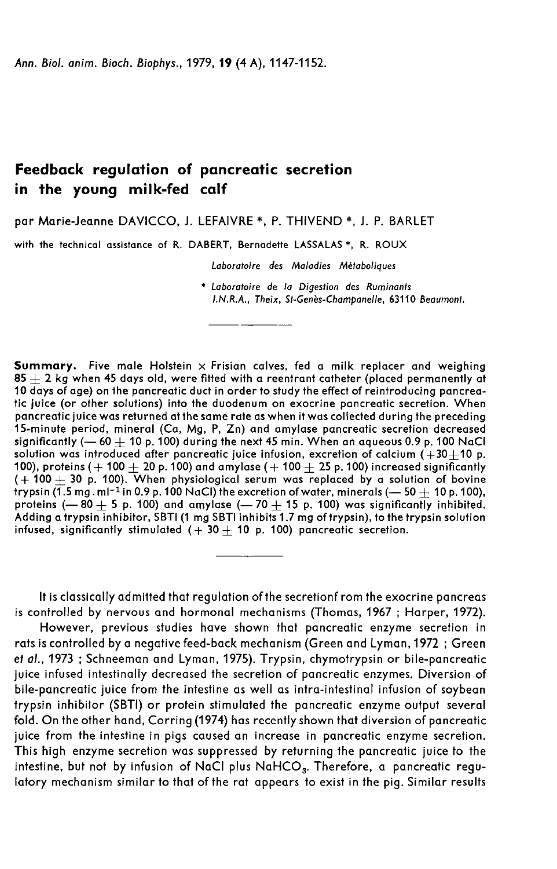# Feedback regulation of pancreatic secretion in the young milk-fed calf

par Marie-Jeanne DAVICCO, J. LEFAIVRE \*, P. THIVEND \*, J. P. BARLET

with the technical assistance of R. DABERT, Bernadette LASSALAS \*, R. ROUX

Laboratoire des Maladies Métaboliques

\* Laboratoire de la Digestion des Ruminants LN.R.A., Theix, St-Genès-Champanelle, 63110 Beaumont.

**Summary.** Five male Holstein  $\times$  Frisian calves, fed a milk replacer and weighing  $85 + 2$  kg when 45 days old, were fitted with a reentrant catheter (placed permanently at 10 days of age) on the pancreatic duct in order to study the effect of reintroducing pancreatic juice (or other solutions) into the duodenum on exocrine pancreatic secretion. When pancreatic juice was returned at the same rate as when it was collected during the preceding 15-minute period, mineral (Ca, Mg, P, Zn) and amylase pancreatic secretion decreased<br>significantly (— 60  $\pm$  10 p. 100) during the next 45 min. When an aqueous 0.9 p. 100 NaCl solution was introduced after pancreatic juice infusion, excretion of calcium  $(+30+10$  p. 100), proteins ( $+100 + 20$  p. 100) and amylase ( $+100 + 25$  p. 100) increased significantly (+ 100  $\pm$  30 p. 100). When physiological serum was replaced by a solution of bovine trypsin (1.5 mg. ml<sup>-1</sup> in 0.9 p. 100 NaCl) the excretion of water, minerals (- 50  $\pm$  10 p. 100), significantly (— 60  $\pm$  10 p. 100) during the next 45 min. When an aqueous 0.9 p. 100 NaCl<br>solution was introduced after pancreatic juice infusion, excretion of calcium (+30 $\pm$ 10 p.<br>100), proteins (+ 100  $\pm$  20 p. 100) Adding a trypsin inhibitor, SBTI (1 mg SBTI inhibits 1.7 mg of trypsin), to the trypsin solution 100), proteins (+ 100  $\pm$  20 p. 100) and amylase (+ 100  $\pm$  25 p. 100) increas (+ 100  $\pm$  30 p. 100). When physiological serum was replaced by a solutrypsin (1.5 mg.ml<sup>-1</sup> in 0.9 p. 100 NaCl) the excretion of water, mi

It is classically admitted that regulation of the secretionf rom the exocrine pancreas is controlled by nervous and hormonal mechanisms (Thomas, 1967 ; Harper, 1972).

However, previous studies have shown that pancreatic enzyme secretion in rats is controlled by a negative feed-back mechanism (Green and Lyman, 1972 ; Green et al., 1973 ; Schneeman and Lyman, 1975). Trypsin, chymotrypsin or bile-pancreatic juice infused intestinally decreased the secretion of pancreatic enzymes. Diversion of bile-pancreatic juice from the intestine as well as intra-intestinal infusion of soybean trypsin inhibitor (SBTI) or protein stimulated the pancreatic enzyme output several fold. On the other hand, Corring (1974) has recently shown that diversion of pancreatic juice from the intestine in pigs caused an increase in pancreatic enzyme secretion. This high enzyme secretion was suppressed by returning the pancreatic juice to the intestine, but not by infusion of NaCl plus NaHCO<sub>3</sub>. Therefore, a pancreatic reguintypsin innibilor (SBTI) or protein stimulated the pancreatic enzyme output several<br>fold. On the other hand, Corring (1974) has recently shown that diversion of pancreatic<br>juice from the intestine in pigs caused an increa latory mechanism similar to that of the rat appears to exist in the pig. Similar results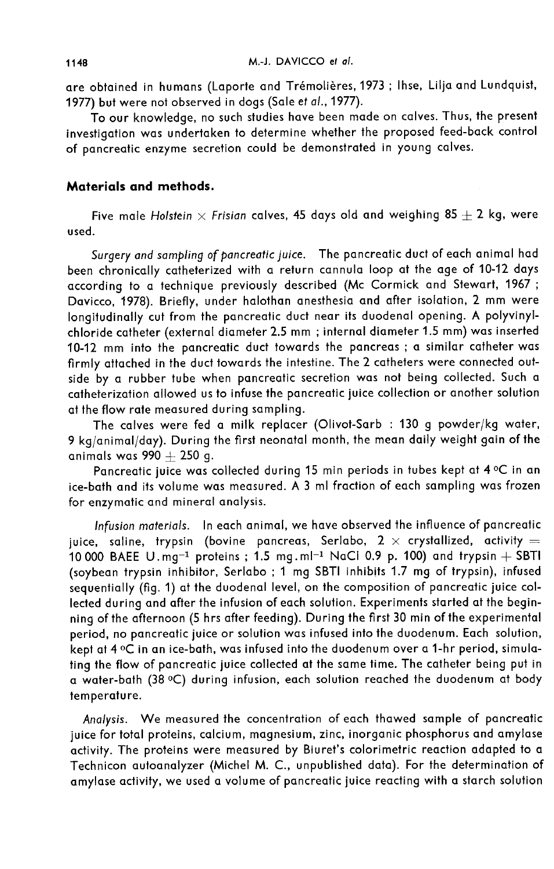are obtained in humans (Laporte and Trémolières, 1973 ; Ihse, Lilja and Lundquist, 1977) but were not observed in dogs (Sale et al., 1977).

To our knowledge, no such studies have been made on calves. Thus, the present investigation was undertaken to determine whether the proposed feed-back control of pancreatic enzyme secretion could be demonstrated in young calves.

### Materials and methods.

Five male Holstein  $\times$  Frisian calves, 45 days old and weighing 85  $\pm$  2 kg, were used.

Surgery and sampling of pancreatic juice. The pancreatic duct of each animal had been chronically catheterized with a return cannula loop at the age of 10-12 days according to a technique previously described (Mc Cormick and Stewart, 1967; Davicco, 1978). Briefly, under halothan anesthesia and after isolation, 2 mm were longitudinally cut from the pancreatic duct near its duodenal opening. A polyvinylchloride catheter (external diameter 2.5 mm ; internal diameter 1.5 mm) was inserted 10-12 mm into the pancreatic duct towards the pancreas ; a similar catheter was firmly attached in the duct towards the intestine. The 2 catheters were connected outside by a rubber tube when pancreatic secretion was not being collected. Such a catheterization allowed us to infuse the pancreatic juice collection or another solution at the flow rate measured during sampling.

The calves were fed a milk replacer (Olivot-Sarb : 130 g powder/kg water, 9 kg/animal/day). During the first neonatal month, the mean daily weight gain of the animals was  $990 + 250$  g.

Pancreatic juice was collected during 15 min periods in tubes kept at 4  $\mathrm{^oC}$  in an ice-bath and its volume was measured. A 3 ml fraction of each sampling was frozen for enzymatic and mineral analysis.

Infusion materials. In each animal, we have observed the influence of pancreatic juice, saline, trypsin (bovine pancreas, Serlabo, 2  $\times$  crystallized, activity =<br>10 000 BAEE U.mg<sup>-1</sup> proteins ; 1.5 mg.ml<sup>-1</sup> NaCl 0.9 p. 100) and trypsin + SBTI Infusion materials. In each animal, we have observed the influence of pancreatic<br>juice, saline, trypsin (bovine pancreas, Serlabo,  $2 \times$  crystallized, activity =<br>10 000 BAEE U.mg<sup>-1</sup> proteins ; 1.5 mg.ml<sup>-1</sup> NaCl 0.9 p. 1 sequentially (fig. 1) at the duodenal level, on the composition of pancreatic juice collected during and after the infusion of each solution. Experiments started at the beginning of the afternoon (5 hrs after feeding). During the first 30 min of the experimental period, no pancreatic juice or solution was infused into the duodenum. Each solution, kept at 4 °C in an ice-bath, was infused into the duodenum over a 1-hr period, simulating the flow of pancreatic juice collected at the same time. The catheter being put in a water-bath (38 °C) during infusion, each solution reached the duodenum at body temperature.

Analysis. We measured the concentration of each thawed sample of pancreatic juice for total proteins, calcium, magnesium, zinc, inorganic phosphorus and amylase activity. The proteins were measured by Biuret's colorimetric reaction adapted to a Technicon autoanalyzer (Michel M. C., unpublished data). For the determination of amylase activity, we used a volume of pancreatic juice reacting with a starch solution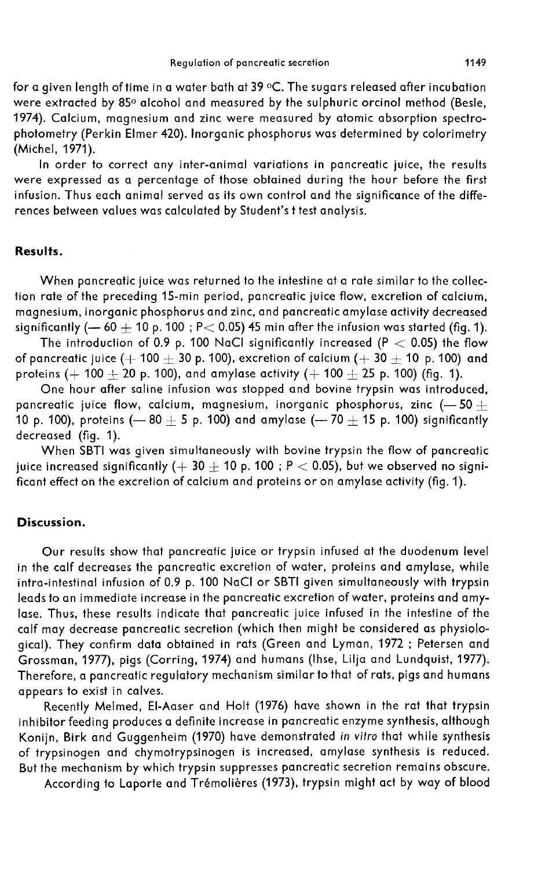for a given length of time in a water bath at 39  $\circ$ C. The sugars released after incubation were extracted by 85<sup>0</sup> alcohol and measured by the sulphuric orcinol method (Besle, 1974). Calcium, magnesium and zinc were measured by atomic absorption spectrophotometry (Perkin Elmer 420). Inorganic phosphorus was determined by colorimetry (Michel, 1971).

In order to correct any inter-animal variations in pancreatic juice, the results were expressed as a percentage of those obtained during the hour before the first infusion. Thus each animal served as its own control and the significance of the differences between values was calculated by Student's t test analysis.

## Results.

When pancreatic juice was returned to the intestine at a rate similar to the collection rate of the preceding 15-min period, pancreatic juice flow, excretion of calcium, magnesium, inorganic phosphorus and zinc, and pancreatic amylase activity decreased significantly  $(-60+10 \text{ p. } 100$ ; P < 0.05) 45 min after the infusion was started (fig. 1).

The introduction of 0.9 p. 100 NaCl significantly increased (P  $<$  0.05) the flow of pancreatic juice ( $+100 + 30$  p. 100), excretion of calcium ( $+30 + 10$  p. 100) and proteins (+ 100  $\pm$  20 p. 100), and amylase activity (+ 100  $\pm$  25 p. 100) (fig. 1).

One hour after saline infusion was stopped and bovine trypsin was introduced, pancreatic juice flow, calcium, magnesium, inorganic phosphorus, zinc (-50  $\pm$ 10 p. 100), proteins (-80  $\pm$  5 p. 100) and amylase (-70  $\pm$  15 p. 100) significantly decreased (fig. 1).

When SBTI was given simultaneously with bovine trypsin the flow of pancreatic juice increased significantly (+ 30  $\pm$  10 p. 100 ; P  $<$  0.05), but we observed no significant effect on the excretion of calcium and proteins or on amylase activity (fig. 1).

### Discussion.

Our results show that pancreatic juice or trypsin infused at the duodenum level in the calf decreases the pancreatic excretion of water, proteins and amylase, while intra-intestinal infusion of 0.9 p. 100 NaCl or SBTI given simultaneously with trypsin leads to an immediate increase in the pancreatic excretion of water, proteins and amylase. Thus, these results indicate that pancreatic juice infused in the intestine of the calf may decrease pancreatic secretion (which then might be considered as physiological). They confirm data obtained in rats (Green and Lyman, 1972 ; Petersen and Grossman, 1977), pigs (Corring, 1974) and humans (Ihse, Lilja and Lundquist, 1977). Therefore, a pancreatic regulatory mechanism similar to that of rats, pigs and humans appears to exist in calves.

Recently Melmed, El-Aaser and Holt (1976) have shown in the rat that trypsin inhibitor feeding produces a definite increase in pancreatic enzyme synthesis, although Konijn, Birk and Guggenheim (1970) have demonstrated in vitro that while synthesis of trypsinogen and chymotrypsinogen is increased, amylase synthesis is reduced. But the mechanism by which trypsin suppresses pancreatic secretion remains obscure.

According to Laporte and Tremolieres (1973), trypsin might act by way of blood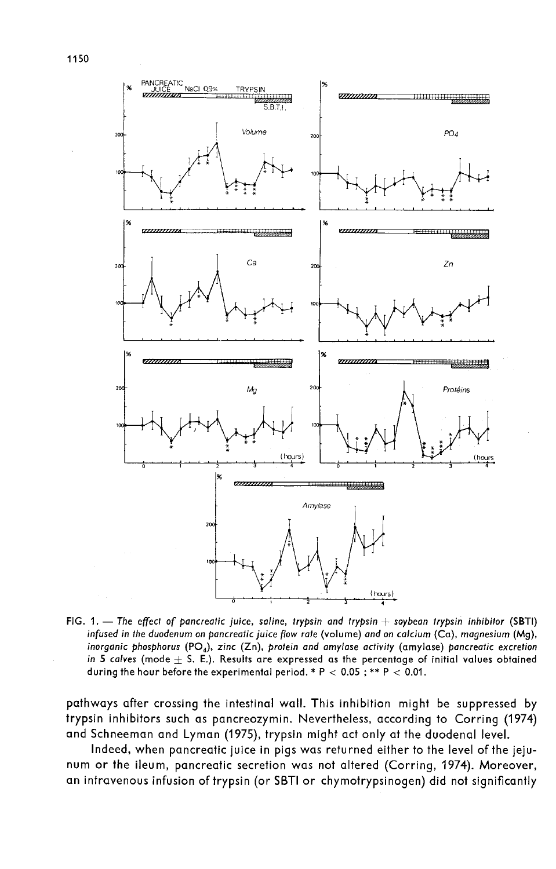

FIG. 1. - The effect of pancreatic juice, saline, trypsin and trypsin + soybean trypsin inhibitor (SBTI) infused in the duodenum on pancreatic juice flow rate (volume) and on calcium (Ca), magnesium (Mg), inorganic phosphorus (PO<sub>4</sub>), zinc (Zn), protein and amylase activity (amylase) pancreatic excretion in 5 calves (mode  $+$  S. E.). Results are expressed as the percentage of initial values obtained during the hour before the experimental period. \* P < 0.05; \*\* P < 0.01.

pathways after crossing the intestinal wall. This inhibition might be suppressed by trypsin inhibitors such as pancreozymin. Nevertheless, according to Corring (1974) and Schneeman and Lyman (1975), trypsin might act only at the duodenal level.

Indeed, when pancreatic juice in pigs was returned either to the level of the jeju num or the ileum, pancreatic secretion was not altered (Corring, 1974). Moreover, an intravenous infusion of trypsin (or SBTI or chymotrypsinogen) did not significantly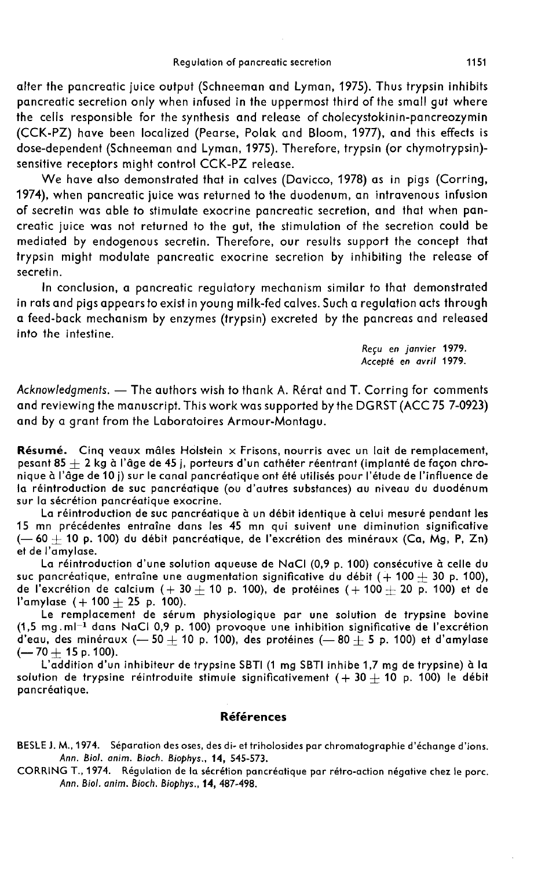alter the pancreatic juice output (Schneeman and Lyman, 1975). Thus trypsin inhibits pancreatic secretion only when infused in the uppermost third of the small gut where the cells responsible for the synthesis and release of cholecystokinin-pancreozymin (CCK-PZ) have been localized (Pearse, Polak and Bloom, 1977), and this effects is dose-dependent (Schneeman and Lyman, 1975). Therefore, trypsin (or chymotrypsin) sensitive receptors might control CCK-PZ release.

We have also demonstrated that in calves (Davicco, 1978) as in pigs (Corring, 1974), when pancreatic juice was returned to the duodenum, an intravenous infusion of secretin was able to stimulate exocrine pancreatic secretion, and that when pancreatic juice was not returned to the gut, the stimulation of the secretion could be mediated by endogenous secretin. Therefore, our results support the concept that trypsin might modulate pancreatic exocrine secretion by inhibiting the release of secretin.

In conclusion, a pancreatic regulatory mechanism similar to that demonstrated in rats and pigs appears to exist in young milk-fed calves. Such a regulation acts through a feed-back mechanism by enzymes (trypsin) excreted by the pancreas and released into the intestine.

> Reçu en janvier 1979. Accepté en avril 1979.

Acknowledgments. - The authors wish to thank A. Rérat and T. Corring for comments and reviewing the manuscript. This work was supported by the DGRST (ACC 75 7-0923) and by a grant from the Laboratoires Armour-Montagu.

Résumé. Cinq veaux mâles Holstein  $\times$  Frisons, nourris avec un lait de remplacement, pesant  $85 + 2$  kg à l'âge de 45 j, porteurs d'un cathéter réentrant (implanté de façon chronique à l'âge de 10 j) sur le canal pancréatique ont été utilisés pour l'étude de l'influence de la réintroduction de suc pancréatique (ou d'autres substances) au niveau du duodénum sur la sécrétion pancréatique exocrine.

La réintroduction de suc pancréatique à un débit identique à celui mesuré pendant les 15 mn précédentes entraîne dans les 45 mn qui suivent une diminution significative  $(-60 + 10$  p. 100) du débit pancréatique, de l'excrétion des minéraux (Ca, Mg, P, Zn) et de l'amylase.

La réintroduction d'une solution aqueuse de NaCI (0,9 p. 100) consécutive à celle du suc pancréatique, entraîne une augmentation significative du débit  $(+100 + 30$  p. 100), de l'excrétion de calcium  $(+30 + 10$  p. 100), de protéines  $(+100 + 20$  p. 100) et de l'amylase  $(+100 + 25$  p. 100).

Le remplacement de sérum physiologique par une solution de trypsine bovine suc pancréatique, entraîne une augmentation significative du débit  $(+100 \pm 30$  p. 100),<br>de l'excrétion de calcium  $(+30 \pm 10$  p. 100), de protéines  $(+100 \pm 20$  p. 100) et de<br>l'amylase  $(+100 \pm 25$  p. 100).<br>Le remplacement d d'eau, des minéraux (- 50 + 10 p. 100), des protéines (- 80 + 5 p. 100) et d'amylase  $(-70 + 15$  p. 100).

L'addition d'un inhibiteur de trypsine SBTI (1 mg SBTI inhibe 1,7 mg de trypsine) à la solution de trypsine réintroduite stimule significativement (+ 30 + 10 p. 100) le débit pancréatique.

#### Références

BESLEJ. M., 1974. Séparation des oses, des di- et triholosides par chromatographie d'échange d'ions. Ann. Biol. anim. Bioch. Biophys., 14, 545-573.

CORRING T., 1974. Régulation de la sécrétion pancréatique par rétro-action négative chez le porc. Ann. Biol. anim. Bioch. Biophys., 14, 487-498.